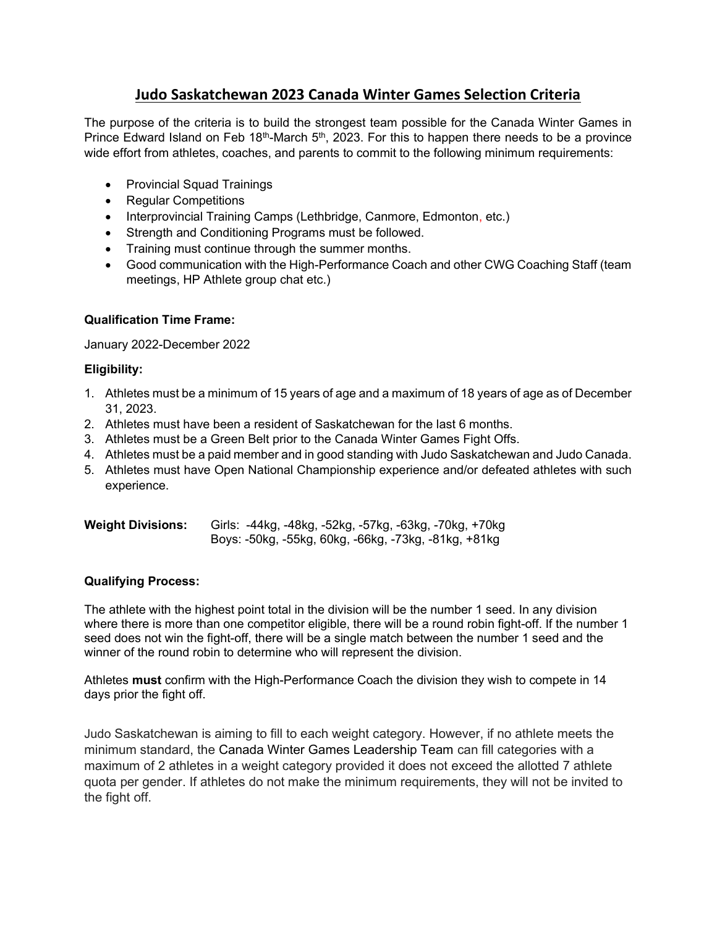# Judo Saskatchewan 2023 Canada Winter Games Selection Criteria

The purpose of the criteria is to build the strongest team possible for the Canada Winter Games in Prince Edward Island on Feb  $18<sup>th</sup>$ -March  $5<sup>th</sup>$ , 2023. For this to happen there needs to be a province wide effort from athletes, coaches, and parents to commit to the following minimum requirements:

- Provincial Squad Trainings
- Regular Competitions
- Interprovincial Training Camps (Lethbridge, Canmore, Edmonton, etc.)
- Strength and Conditioning Programs must be followed.
- Training must continue through the summer months.
- Good communication with the High-Performance Coach and other CWG Coaching Staff (team meetings, HP Athlete group chat etc.)

# Qualification Time Frame:

January 2022-December 2022

## Eligibility:

- 1. Athletes must be a minimum of 15 years of age and a maximum of 18 years of age as of December 31, 2023.
- 2. Athletes must have been a resident of Saskatchewan for the last 6 months.
- 3. Athletes must be a Green Belt prior to the Canada Winter Games Fight Offs.
- 4. Athletes must be a paid member and in good standing with Judo Saskatchewan and Judo Canada.
- 5. Athletes must have Open National Championship experience and/or defeated athletes with such experience.

| <b>Weight Divisions:</b> |                                                      |  |  | Girls: -44kg, -48kg, -52kg, -57kg, -63kg, -70kg, +70kg |
|--------------------------|------------------------------------------------------|--|--|--------------------------------------------------------|
|                          | Boys: -50kg, -55kg, 60kg, -66kg, -73kg, -81kg, +81kg |  |  |                                                        |

## Qualifying Process:

The athlete with the highest point total in the division will be the number 1 seed. In any division where there is more than one competitor eligible, there will be a round robin fight-off. If the number 1 seed does not win the fight-off, there will be a single match between the number 1 seed and the winner of the round robin to determine who will represent the division.

Athletes **must** confirm with the High-Performance Coach the division they wish to compete in 14 days prior the fight off.

Judo Saskatchewan is aiming to fill to each weight category. However, if no athlete meets the minimum standard, the Canada Winter Games Leadership Team can fill categories with a maximum of 2 athletes in a weight category provided it does not exceed the allotted 7 athlete quota per gender. If athletes do not make the minimum requirements, they will not be invited to the fight off.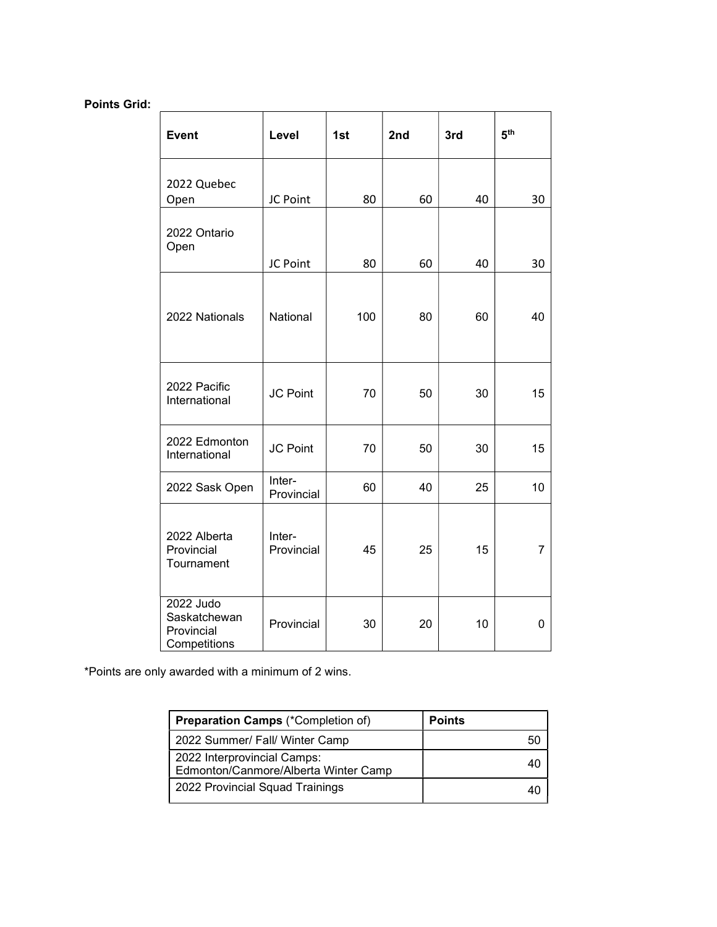# Points Grid:

| <b>Event</b>                                            | Level                | 1st | 2nd | 3rd | 5 <sup>th</sup> |
|---------------------------------------------------------|----------------------|-----|-----|-----|-----------------|
| 2022 Quebec<br>Open                                     | JC Point             | 80  | 60  | 40  | 30              |
| 2022 Ontario<br>Open                                    | JC Point             | 80  | 60  | 40  | 30              |
| 2022 Nationals                                          | National             | 100 | 80  | 60  | 40              |
| 2022 Pacific<br>International                           | <b>JC Point</b>      | 70  | 50  | 30  | 15              |
| 2022 Edmonton<br>International                          | JC Point             | 70  | 50  | 30  | 15              |
| 2022 Sask Open                                          | Inter-<br>Provincial | 60  | 40  | 25  | 10              |
| 2022 Alberta<br>Provincial<br>Tournament                | Inter-<br>Provincial | 45  | 25  | 15  | $\overline{7}$  |
| 2022 Judo<br>Saskatchewan<br>Provincial<br>Competitions | Provincial           | 30  | 20  | 10  | 0               |

\*Points are only awarded with a minimum of 2 wins.

| <b>Preparation Camps</b> (*Completion of)                           | <b>Points</b> |
|---------------------------------------------------------------------|---------------|
| 2022 Summer/ Fall/ Winter Camp                                      |               |
| 2022 Interprovincial Camps:<br>Edmonton/Canmore/Alberta Winter Camp |               |
| 2022 Provincial Squad Trainings                                     |               |